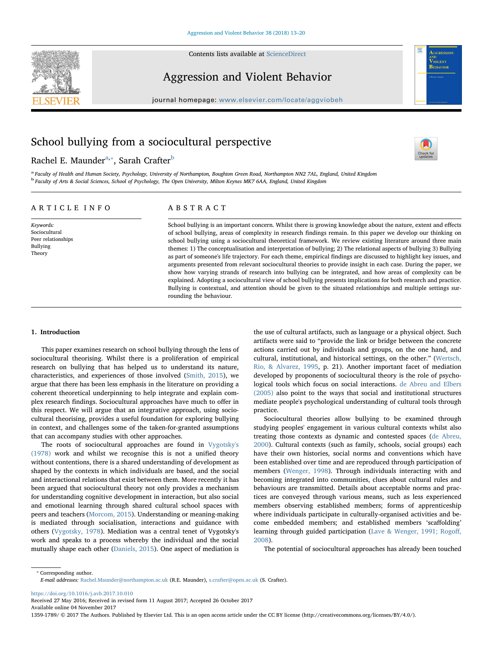

Contents lists available at [ScienceDirect](http://www.sciencedirect.com/science/journal/13591789)

# Aggression and Violent Behavior

 $j$ ornal homepage: www.elsevier.com/locate/aggluobeheer.com/locate/aggluobeheer.com/locate/aggluobeheer.com/locate/aggluobeheer.com/locate/aggluobeheer.com/locate/aggluobeheer.com/locate/aggluobeheer.com/locate/aggluobehe

# School bullying from a sociocultural perspective

R[a](#page-0-0)chel E. Maunder<sup>a,</sup>\*, Sarah Crafter<sup>b</sup>



IOLENT **BEHAVIOR** 

<span id="page-0-2"></span><span id="page-0-0"></span>a Faculty of Health and Human Society, Psychology, University of Northampton, Boughton Green Road, Northampton NN2 7AL, England, United Kingdom <sup>b</sup> Faculty of Arts & Social Sciences, School of Psychology, The Open University, Milton Keynes MK7 6AA, England, United Kingdom

# ARTICLE INFO

Keywords: Sociocultura Peer relationships Bullying Theory

# ABSTRACT

School bullying is an important concern. Whilst there is growing knowledge about the nature, extent and effects of school bullying, areas of complexity in research findings remain. In this paper we develop our thinking on school bullying using a sociocultural theoretical framework. We review existing literature around three main themes: 1) The conceptualisation and interpretation of bullying; 2) The relational aspects of bullying 3) Bullying as part of someone's life trajectory. For each theme, empirical findings are discussed to highlight key issues, and arguments presented from relevant sociocultural theories to provide insight in each case. During the paper, we show how varying strands of research into bullying can be integrated, and how areas of complexity can be explained. Adopting a sociocultural view of school bullying presents implications for both research and practice. Bullying is contextual, and attention should be given to the situated relationships and multiple settings surrounding the behaviour.

#### 1. Introduction

This paper examines research on school bullying through the lens of sociocultural theorising. Whilst there is a proliferation of empirical research on bullying that has helped us to understand its nature, characteristics, and experiences of those involved [\(Smith, 2015\)](#page-7-0), we argue that there has been less emphasis in the literature on providing a coherent theoretical underpinning to help integrate and explain complex research findings. Sociocultural approaches have much to offer in this respect. We will argue that an integrative approach, using sociocultural theorising, provides a useful foundation for exploring bullying in context, and challenges some of the taken-for-granted assumptions that can accompany studies with other approaches.

The roots of sociocultural approaches are found in [Vygotsky's](#page-7-1) [\(1978\)](#page-7-1) work and whilst we recognise this is not a unified theory without contentions, there is a shared understanding of development as shaped by the contexts in which individuals are based, and the social and interactional relations that exist between them. More recently it has been argued that sociocultural theory not only provides a mechanism for understanding cognitive development in interaction, but also social and emotional learning through shared cultural school spaces with peers and teachers [\(Morcom, 2015\)](#page-7-2). Understanding or meaning-making is mediated through socialisation, interactions and guidance with others ([Vygotsky, 1978](#page-7-1)). Mediation was a central tenet of Vygotsky's work and speaks to a process whereby the individual and the social mutually shape each other [\(Daniels, 2015](#page-6-0)). One aspect of mediation is

the use of cultural artifacts, such as language or a physical object. Such artifacts were said to "provide the link or bridge between the concrete actions carried out by individuals and groups, on the one hand, and cultural, institutional, and historical settings, on the other." ([Wertsch,](#page-7-3) [Rio, & Alvarez, 1995,](#page-7-3) p. 21). Another important facet of mediation developed by proponents of sociocultural theory is the role of psychological tools which focus on social interactions. [de Abreu and Elbers](#page-6-1) [\(2005\)](#page-6-1) also point to the ways that social and institutional structures mediate people's psychological understanding of cultural tools through practice.

Sociocultural theories allow bullying to be examined through studying peoples' engagement in various cultural contexts whilst also treating those contexts as dynamic and contested spaces ([de Abreu,](#page-6-2) [2000\)](#page-6-2). Cultural contexts (such as family, schools, social groups) each have their own histories, social norms and conventions which have been established over time and are reproduced through participation of members ([Wenger, 1998\)](#page-7-4). Through individuals interacting with and becoming integrated into communities, clues about cultural rules and behaviours are transmitted. Details about acceptable norms and practices are conveyed through various means, such as less experienced members observing established members; forms of apprenticeship where individuals participate in culturally-organised activities and become embedded members; and established members 'scaffolding' learning through guided participation [\(Lave & Wenger, 1991; Rogo](#page-7-5)ff, [2008\)](#page-7-5).

The potential of sociocultural approaches has already been touched

<span id="page-0-1"></span>⁎ Corresponding author. E-mail addresses: [Rachel.Maunder@northampton.ac.uk](mailto:Rachel.Maunder@northampton.ac.uk) (R.E. Maunder), [s.crafter@open.ac.uk](mailto:s.crafter@open.ac.uk) (S. Crafter).

<https://doi.org/10.1016/j.avb.2017.10.010>

Received 27 May 2016; Received in revised form 11 August 2017; Accepted 26 October 2017

Available online 04 November 2017

1359-1789/ © 2017 The Authors. Published by Elsevier Ltd. This is an open access article under the CC BY license (http://creativecommons.org/licenses/BY/4.0/).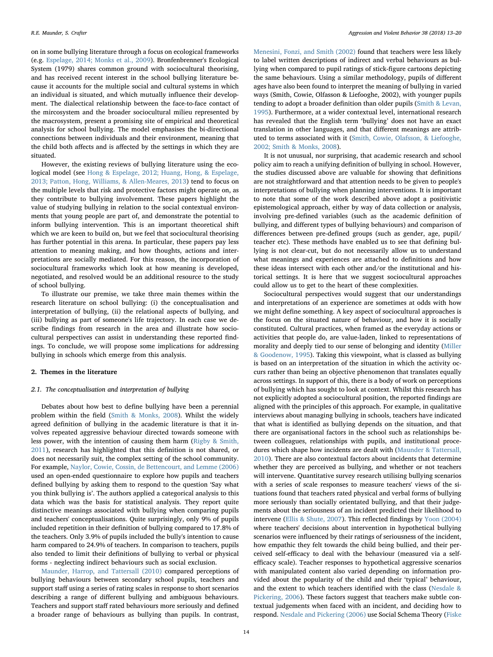on in some bullying literature through a focus on ecological frameworks (e.g. [Espelage, 2014; Monks et al., 2009\)](#page-7-6). Bronfenbrenner's Ecological System (1979) shares common ground with sociocultural theorising, and has received recent interest in the school bullying literature because it accounts for the multiple social and cultural systems in which an individual is situated, and which mutually influence their development. The dialectical relationship between the face-to-face contact of the mircosystem and the broader sociocultural milieu represented by the macrosystem, present a promising site of empirical and theoretical analysis for school bullying. The model emphasises the bi-directional connections between individuals and their environment, meaning that the child both affects and is affected by the settings in which they are situated.

However, the existing reviews of bullying literature using the ecological model (see [Hong & Espelage, 2012; Huang, Hong, & Espelage,](#page-7-7) [2013; Patton, Hong, Williams, & Allen-Meares, 2013](#page-7-7)) tend to focus on the multiple levels that risk and protective factors might operate on, as they contribute to bullying involvement. These papers highlight the value of studying bullying in relation to the social contextual environments that young people are part of, and demonstrate the potential to inform bullying intervention. This is an important theoretical shift which we are keen to build on, but we feel that sociocultural theorising has further potential in this arena. In particular, these papers pay less attention to meaning making, and how thoughts, actions and interpretations are socially mediated. For this reason, the incorporation of sociocultural frameworks which look at how meaning is developed, negotiated, and resolved would be an additional resource to the study of school bullying.

To illustrate our premise, we take three main themes within the research literature on school bullying: (i) the conceptualisation and interpretation of bullying, (ii) the relational aspects of bullying, and (iii) bullying as part of someone's life trajectory. In each case we describe findings from research in the area and illustrate how sociocultural perspectives can assist in understanding these reported findings. To conclude, we will propose some implications for addressing bullying in schools which emerge from this analysis.

### 2. Themes in the literature

#### 2.1. The conceptualisation and interpretation of bullying

Debates about how best to define bullying have been a perennial problem within the field [\(Smith & Monks, 2008\)](#page-7-8). Whilst the widely agreed definition of bullying in the academic literature is that it involves repeated aggressive behaviour directed towards someone with less power, with the intention of causing them harm ([Rigby & Smith,](#page-7-9) [2011\)](#page-7-9), research has highlighted that this definition is not shared, or does not necessarily suit, the complex setting of the school community. For example, [Naylor, Cowie, Cossin, de Bettencourt, and Lemme \(2006\)](#page-7-10) used an open-ended questionnaire to explore how pupils and teachers defined bullying by asking them to respond to the question 'Say what you think bullying is'. The authors applied a categorical analysis to this data which was the basis for statistical analysis. They report quite distinctive meanings associated with bullying when comparing pupils and teachers' conceptualisations. Quite surprisingly, only 9% of pupils included repetition in their definition of bullying compared to 17.8% of the teachers. Only 3.9% of pupils included the bully's intention to cause harm compared to 24.9% of teachers. In comparison to teachers, pupils also tended to limit their definitions of bullying to verbal or physical forms - neglecting indirect behaviours such as social exclusion.

[Maunder, Harrop, and Tattersall \(2010\)](#page-7-11) compared perceptions of bullying behaviours between secondary school pupils, teachers and support staff using a series of rating scales in response to short scenarios describing a range of different bullying and ambiguous behaviours. Teachers and support staff rated behaviours more seriously and defined a broader range of behaviours as bullying than pupils. In contrast,

[Menesini, Fonzi, and Smith \(2002\)](#page-7-12) found that teachers were less likely to label written descriptions of indirect and verbal behaviours as bullying when compared to pupil ratings of stick-figure cartoons depicting the same behaviours. Using a similar methodology, pupils of different ages have also been found to interpret the meaning of bullying in varied ways (Smith, Cowie, Olfasson & Liefooghe, 2002), with younger pupils tending to adopt a broader definition than older pupils ([Smith & Levan,](#page-7-13) [1995\)](#page-7-13). Furthermore, at a wider contextual level, international research has revealed that the English term 'bullying' does not have an exact translation in other languages, and that different meanings are attributed to terms associated with it [\(Smith, Cowie, Olafsson, & Liefooghe,](#page-7-14) [2002; Smith & Monks, 2008](#page-7-14)).

It is not unusual, nor surprising, that academic research and school policy aim to reach a unifying definition of bullying in school. However, the studies discussed above are valuable for showing that definitions are not straightforward and that attention needs to be given to people's interpretations of bullying when planning interventions. It is important to note that some of the work described above adopt a positivistic epistemological approach, either by way of data collection or analysis, involving pre-defined variables (such as the academic definition of bullying, and different types of bullying behaviours) and comparison of differences between pre-defined groups (such as gender, age, pupil/ teacher etc). These methods have enabled us to see that defining bullying is not clear-cut, but do not necessarily allow us to understand what meanings and experiences are attached to definitions and how these ideas intersect with each other and/or the institutional and historical settings. It is here that we suggest sociocultural approaches could allow us to get to the heart of these complexities.

Sociocultural perspectives would suggest that our understandings and interpretations of an experience are sometimes at odds with how we might define something. A key aspect of sociocultural approaches is the focus on the situated nature of behaviour, and how it is socially constituted. Cultural practices, when framed as the everyday actions or activities that people do, are value-laden, linked to representations of morality and deeply tied to our sense of belonging and identity [\(Miller](#page-7-15) [& Goodenow, 1995\)](#page-7-15). Taking this viewpoint, what is classed as bullying is based on an interpretation of the situation in which the activity occurs rather than being an objective phenomenon that translates equally across settings. In support of this, there is a body of work on perceptions of bullying which has sought to look at context. Whilst this research has not explicitly adopted a sociocultural position, the reported findings are aligned with the principles of this approach. For example, in qualitative interviews about managing bullying in schools, teachers have indicated that what is identified as bullying depends on the situation, and that there are organisational factors in the school such as relationships between colleagues, relationships with pupils, and institutional procedures which shape how incidents are dealt with [\(Maunder & Tattersall,](#page-7-16) [2010\)](#page-7-16). There are also contextual factors about incidents that determine whether they are perceived as bullying, and whether or not teachers will intervene. Quantitative survey research utilising bullying scenarios with a series of scale responses to measure teachers' views of the situations found that teachers rated physical and verbal forms of bullying more seriously than socially orientated bullying, and that their judgements about the seriousness of an incident predicted their likelihood to intervene [\(Ellis & Shute, 2007](#page-7-17)). This reflected findings by [Yoon \(2004\)](#page-7-18) where teachers' decisions about intervention in hypothetical bullying scenarios were influenced by their ratings of seriousness of the incident, how empathic they felt towards the child being bullied, and their perceived self-efficacy to deal with the behaviour (measured via a selfefficacy scale). Teacher responses to hypothetical aggressive scenarios with manipulated content also varied depending on information provided about the popularity of the child and their 'typical' behaviour, and the extent to which teachers identified with the class [\(Nesdale &](#page-7-19) [Pickering, 2006\)](#page-7-19). These factors suggest that teachers make subtle contextual judgements when faced with an incident, and deciding how to respond. [Nesdale and Pickering \(2006\)](#page-7-19) use Social Schema Theory ([Fiske](#page-7-20)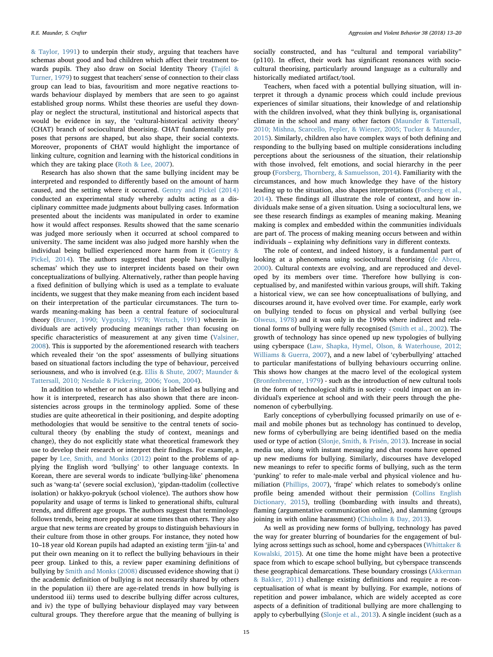[& Taylor, 1991](#page-7-20)) to underpin their study, arguing that teachers have schemas about good and bad children which affect their treatment towards pupils. They also draw on Social Identity Theory [\(Tajfel &](#page-7-21) [Turner, 1979\)](#page-7-21) to suggest that teachers' sense of connection to their class group can lead to bias, favouritism and more negative reactions towards behaviour displayed by members that are seen to go against established group norms. Whilst these theories are useful they downplay or neglect the structural, institutional and historical aspects that would be evidence in say, the 'cultural-historical activity theory' (CHAT) branch of sociocultural theorising. CHAT fundamentally proposes that persons are shaped, but also shape, their social contexts. Moreover, proponents of CHAT would highlight the importance of linking culture, cognition and learning with the historical conditions in which they are taking place ([Roth & Lee, 2007](#page-7-22)).

Research has also shown that the same bullying incident may be interpreted and responded to differently based on the amount of harm caused, and the setting where it occurred. [Gentry and Pickel \(2014\)](#page-7-23) conducted an experimental study whereby adults acting as a disciplinary committee made judgments about bullying cases. Information presented about the incidents was manipulated in order to examine how it would affect responses. Results showed that the same scenario was judged more seriously when it occurred at school compared to university. The same incident was also judged more harshly when the individual being bullied experienced more harm from it ([Gentry &](#page-7-23) [Pickel, 2014\)](#page-7-23). The authors suggested that people have 'bullying schemas' which they use to interpret incidents based on their own conceptualizations of bullying. Alternatively, rather than people having a fixed definition of bullying which is used as a template to evaluate incidents, we suggest that they make meaning from each incident based on their interpretation of the particular circumstances. The turn towards meaning-making has been a central feature of sociocultural theory ([Bruner, 1990; Vygotsky, 1978; Wertsch, 1991](#page-6-3)) wherein individuals are actively producing meanings rather than focusing on specific characteristics of measurement at any given time ([Valsiner,](#page-7-24) [2008\)](#page-7-24). This is supported by the aforementioned research with teachers which revealed their 'on the spot' assessments of bullying situations based on situational factors including the type of behaviour, perceived seriousness, and who is involved (e.g. [Ellis & Shute, 2007; Maunder &](#page-7-17) [Tattersall, 2010; Nesdale & Pickering, 2006; Yoon, 2004\)](#page-7-17).

In addition to whether or not a situation is labelled as bullying and how it is interpreted, research has also shown that there are inconsistencies across groups in the terminology applied. Some of these studies are quite atheoretical in their positioning, and despite adopting methodologies that would be sensitive to the central tenets of sociocultural theory (by enabling the study of context, meanings and change), they do not explicitly state what theoretical framework they use to develop their research or interpret their findings. For example, a paper by [Lee, Smith, and Monks \(2012\)](#page-7-25) point to the problems of applying the English word 'bullying' to other language contexts. In Korean, there are several words to indicate 'bullying-like' phenomena such as 'wang-ta' (severe social exclusion), 'gipdan-ttadolim (collective isolation) or hakkyo-pokryuk (school violence). The authors show how popularity and usage of terms is linked to generational shifts, cultural trends, and different age groups. The authors suggest that terminology follows trends, being more popular at some times than others. They also argue that new terms are created by groups to distinguish behaviours in their culture from those in other groups. For instance, they noted how 10–18 year old Korean pupils had adapted an existing term 'jjin-ta' and put their own meaning on it to reflect the bullying behaviours in their peer group. Linked to this, a review paper examining definitions of bullying by [Smith and Monks \(2008\)](#page-7-8) discussed evidence showing that i) the academic definition of bullying is not necessarily shared by others in the population ii) there are age-related trends in how bullying is understood iii) terms used to describe bullying differ across cultures, and iv) the type of bullying behaviour displayed may vary between cultural groups. They therefore argue that the meaning of bullying is

socially constructed, and has "cultural and temporal variability" (p110). In effect, their work has significant resonances with sociocultural theorising, particularly around language as a culturally and historically mediated artifact/tool.

Teachers, when faced with a potential bullying situation, will interpret it through a dynamic process which could include previous experiences of similar situations, their knowledge of and relationship with the children involved, what they think bullying is, organisational climate in the school and many other factors [\(Maunder & Tattersall,](#page-7-16) [2010; Mishna, Scarcello, Pepler, & Wiener, 2005; Tucker & Maunder,](#page-7-16) [2015\)](#page-7-16). Similarly, children also have complex ways of both defining and responding to the bullying based on multiple considerations including perceptions about the seriousness of the situation, their relationship with those involved, felt emotions, and social hierarchy in the peer group [\(Forsberg, Thornberg, & Samuelsson, 2014\)](#page-7-26). Familiarity with the circumstances, and how much knowledge they have of the history leading up to the situation, also shapes interpretations ([Forsberg et al.,](#page-7-26) [2014\)](#page-7-26). These findings all illustrate the role of context, and how individuals make sense of a given situation. Using a sociocultural lens, we see these research findings as examples of meaning making. Meaning making is complex and embedded within the communities individuals are part of. The process of making meaning occurs between and within individuals – explaining why definitions vary in different contexts.

The role of context, and indeed history, is a fundamental part of looking at a phenomena using sociocultural theorising ([de Abreu,](#page-6-2) [2000\)](#page-6-2). Cultural contexts are evolving, and are reproduced and developed by its members over time. Therefore how bullying is conceptualised by, and manifested within various groups, will shift. Taking a historical view, we can see how conceptualisations of bullying, and discourses around it, have evolved over time. For example, early work on bullying tended to focus on physical and verbal bullying (see [Olweus, 1978\)](#page-7-27) and it was only in the 1990s where indirect and relational forms of bullying were fully recognised ([Smith et al., 2002\)](#page-7-14). The growth of technology has since opened up new typologies of bullying using cyberspace (Law, [Shapka, Hymel, Olson, & Waterhouse, 2012;](#page-7-28) [Williams & Guerra, 2007\)](#page-7-28), and a new label of 'cyberbullying' attached to particular manifestations of bullying behaviours occurring online. This shows how changes at the macro level of the ecological system ([Bronfenbrenner, 1979](#page-6-4)) - such as the introduction of new cultural tools in the form of technological shifts in society - could impact on an individual's experience at school and with their peers through the phenomenon of cyberbullying.

Early conceptions of cyberbullying focussed primarily on use of email and mobile phones but as technology has continued to develop, new forms of cyberbullying are being identified based on the media used or type of action ([Slonje, Smith, & Frisén, 2013](#page-7-29)). Increase in social media use, along with instant messaging and chat rooms have opened up new mediums for bullying. Similarly, discourses have developed new meanings to refer to specific forms of bullying, such as the term 'punking' to refer to male-male verbal and physical violence and humiliation [\(Phillips, 2007](#page-7-30)), 'frape' which relates to somebody's online profile being amended without their permission ([Collins English](#page-6-5) [Dictionary, 2015\)](#page-6-5), trolling (bombarding with insults and threats), flaming (argumentative communication online), and slamming (groups joining in with online harassment) ([Chisholm & Day, 2013](#page-6-6)).

As well as providing new forms of bullying, technology has paved the way for greater blurring of boundaries for the engagement of bullying across settings such as school, home and cyberspaces [\(Whittaker &](#page-7-31) [Kowalski, 2015\)](#page-7-31). At one time the home might have been a protective space from which to escape school bullying, but cyberspace transcends these geographical demarcations. These boundary crossings [\(Akkerman](#page-6-7) [& Bakker, 2011\)](#page-6-7) challenge existing definitions and require a re-conceptualisation of what is meant by bullying. For example, notions of repetition and power imbalance, which are widely accepted as core aspects of a definition of traditional bullying are more challenging to apply to cyberbullying [\(Slonje et al., 2013\)](#page-7-29). A single incident (such as a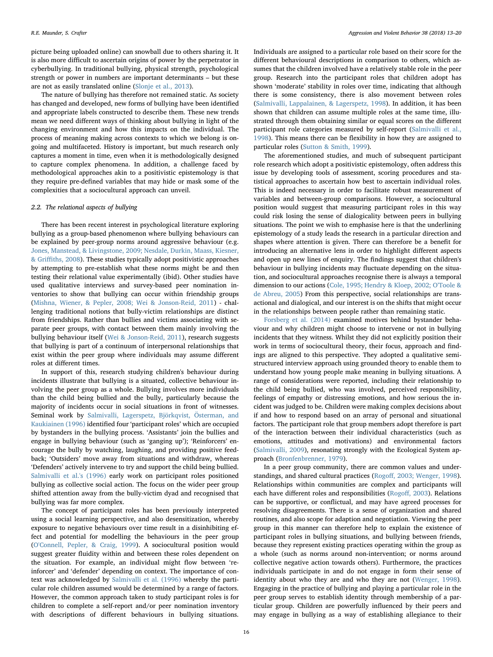picture being uploaded online) can snowball due to others sharing it. It is also more difficult to ascertain origins of power by the perpetrator in cyberbullying. In traditional bullying, physical strength, psychological strength or power in numbers are important determinants – but these are not as easily translated online ([Slonje et al., 2013\)](#page-7-29).

The nature of bullying has therefore not remained static. As society has changed and developed, new forms of bullying have been identified and appropriate labels constructed to describe them. These new trends mean we need different ways of thinking about bullying in light of the changing environment and how this impacts on the individual. The process of meaning making across contexts to which we belong is ongoing and multifaceted. History is important, but much research only captures a moment in time, even when it is methodologically designed to capture complex phenomena. In addition, a challenge faced by methodological approaches akin to a positivistic epistemology is that they require pre-defined variables that may hide or mask some of the complexities that a sociocultural approach can unveil.

#### 2.2. The relational aspects of bullying

There has been recent interest in psychological literature exploring bullying as a group-based phenomenon where bullying behaviours can be explained by peer-group norms around aggressive behaviour (e.g. [Jones, Manstead, & Livingstone, 2009; Nesdale, Durkin, Maass, Kiesner,](#page-7-32) & Griffi[ths, 2008\)](#page-7-32). These studies typically adopt positivistic approaches by attempting to pre-establish what these norms might be and then testing their relational value experimentally (ibid). Other studies have used qualitative interviews and survey-based peer nomination inventories to show that bullying can occur within friendship groups ([Mishna, Wiener, & Pepler, 2008; Wei & Jonson-Reid, 2011\)](#page-7-33) - challenging traditional notions that bully-victim relationships are distinct from friendships. Rather than bullies and victims associating with separate peer groups, with contact between them mainly involving the bullying behaviour itself ([Wei & Jonson-Reid, 2011\)](#page-7-34), research suggests that bullying is part of a continuum of interpersonal relationships that exist within the peer group where individuals may assume different roles at different times.

In support of this, research studying children's behaviour during incidents illustrate that bullying is a situated, collective behaviour involving the peer group as a whole. Bullying involves more individuals than the child being bullied and the bully, particularly because the majority of incidents occur in social situations in front of witnesses. Seminal work by [Salmivalli, Lagerspetz, Björkqvist, Österman, and](#page-7-35) [Kaukiainen \(1996\)](#page-7-35) identified four 'participant roles' which are occupied by bystanders in the bullying process. 'Assistants' join the bullies and engage in bullying behaviour (such as 'ganging up'); 'Reinforcers' encourage the bully by watching, laughing, and providing positive feedback; 'Outsiders' move away from situations and withdraw, whereas 'Defenders' actively intervene to try and support the child being bullied. [Salmivalli et al.'s \(1996\)](#page-7-35) early work on participant roles positioned bullying as collective social action. The focus on the wider peer group shifted attention away from the bully-victim dyad and recognised that bullying was far more complex.

The concept of participant roles has been previously interpreted using a social learning perspective, and also desensitization, whereby exposure to negative behaviours over time result in a disinhibiting effect and potential for modelling the behaviours in the peer group ([O'Connell, Pepler, & Craig, 1999](#page-7-36)). A sociocultural position would suggest greater fluidity within and between these roles dependent on the situation. For example, an individual might flow between 'reinforcer' and 'defender' depending on context. The importance of context was acknowledged by [Salmivalli et al. \(1996\)](#page-7-35) whereby the particular role children assumed would be determined by a range of factors. However, the common approach taken to study participant roles is for children to complete a self-report and/or peer nomination inventory with descriptions of different behaviours in bullying situations.

Individuals are assigned to a particular role based on their score for the different behavioural descriptions in comparison to others, which assumes that the children involved have a relatively stable role in the peer group. Research into the participant roles that children adopt has shown 'moderate' stability in roles over time, indicating that although there is some consistency, there is also movement between roles ([Salmivalli, Lappalainen, & Lagerspetz, 1998](#page-7-37)). In addition, it has been shown that children can assume multiple roles at the same time, illustrated through them obtaining similar or equal scores on the different participant role categories measured by self-report ([Salmivalli et al.,](#page-7-37) [1998\)](#page-7-37). This means there can be flexibility in how they are assigned to particular roles [\(Sutton & Smith, 1999\)](#page-7-38).

The aforementioned studies, and much of subsequent participant role research which adopt a positivistic epistemology, often address this issue by developing tools of assessment, scoring procedures and statistical approaches to ascertain how best to ascertain individual roles. This is indeed necessary in order to facilitate robust measurement of variables and between-group comparisons. However, a sociocultural position would suggest that measuring participant roles in this way could risk losing the sense of dialogicality between peers in bullying situations. The point we wish to emphasise here is that the underlining epistemology of a study leads the research in a particular direction and shapes where attention is given. There can therefore be a benefit for introducing an alternative lens in order to highlight different aspects and open up new lines of enquiry. The findings suggest that children's behaviour in bullying incidents may fluctuate depending on the situation, and sociocultural approaches recognise there is always a temporal dimension to our actions [\(Cole, 1995; Hendry & Kloep, 2002; O'Toole &](#page-6-8) [de Abreu, 2005\)](#page-6-8) From this perspective, social relationships are transactional and dialogical, and our interest is on the shifts that might occur in the relationships between people rather than remaining static.

[Forsberg et al. \(2014\)](#page-7-26) examined motives behind bystander behaviour and why children might choose to intervene or not in bullying incidents that they witness. Whilst they did not explicitly position their work in terms of sociocultural theory, their focus, approach and findings are aligned to this perspective. They adopted a qualitative semistructured interview approach using grounded theory to enable them to understand how young people make meaning in bullying situations. A range of considerations were reported, including their relationship to the child being bullied, who was involved, perceived responsibility, feelings of empathy or distressing emotions, and how serious the incident was judged to be. Children were making complex decisions about if and how to respond based on an array of personal and situational factors. The participant role that group members adopt therefore is part of the interaction between their individual characteristics (such as emotions, attitudes and motivations) and environmental factors ([Salmivalli, 2009\)](#page-7-39), resonating strongly with the Ecological System approach ([Bronfenbrenner, 1979\)](#page-6-4).

In a peer group community, there are common values and understandings, and shared cultural practices (Rogoff[, 2003; Wenger, 1998](#page-7-40)). Relationships within communities are complex and participants will each have different roles and responsibilities (Rogoff[, 2003](#page-7-40)). Relations can be supportive, or conflictual, and may have agreed processes for resolving disagreements. There is a sense of organization and shared routines, and also scope for adaption and negotiation. Viewing the peer group in this manner can therefore help to explain the existence of participant roles in bullying situations, and bullying between friends, because they represent existing practices operating within the group as a whole (such as norms around non-intervention; or norms around collective negative action towards others). Furthermore, the practices individuals participate in and do not engage in form their sense of identity about who they are and who they are not ([Wenger, 1998](#page-7-4)). Engaging in the practice of bullying and playing a particular role in the peer group serves to establish identity through membership of a particular group. Children are powerfully influenced by their peers and may engage in bullying as a way of establishing allegiance to their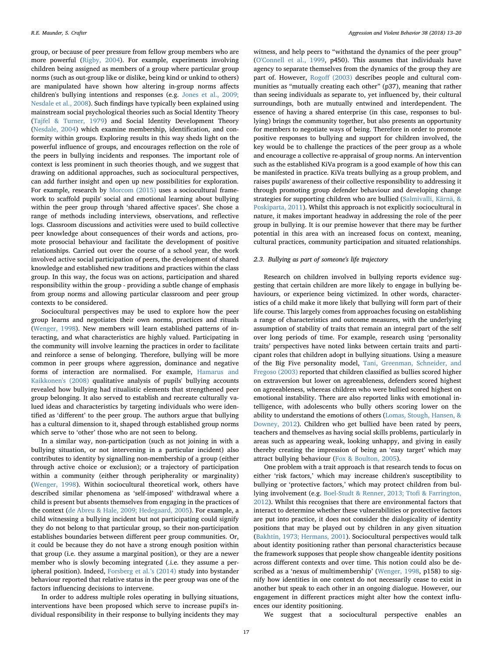group, or because of peer pressure from fellow group members who are more powerful ([Rigby, 2004\)](#page-7-41). For example, experiments involving children being assigned as members of a group where particular group norms (such as out-group like or dislike, being kind or unkind to others) are manipulated have shown how altering in-group norms affects children's bullying intentions and responses (e.g. [Jones et al., 2009;](#page-7-32) [Nesdale et al., 2008\)](#page-7-32). Such findings have typically been explained using mainstream social psychological theories such as Social Identity Theory ([Tajfel & Turner, 1979](#page-7-21)) and Social Identity Development Theory ([Nesdale, 2004\)](#page-7-42) which examine membership, identification, and conformity within groups. Exploring results in this way sheds light on the powerful influence of groups, and encourages reflection on the role of the peers in bullying incidents and responses. The important role of context is less prominent in such theories though, and we suggest that drawing on additional approaches, such as sociocultural perspectives, can add further insight and open up new possibilities for exploration. For example, research by [Morcom \(2015\)](#page-7-2) uses a sociocultural framework to scaffold pupils' social and emotional learning about bullying within the peer group through 'shared affective spaces'. She chose a range of methods including interviews, observations, and reflective logs. Classroom discussions and activities were used to build collective peer knowledge about consequences of their words and actions, promote prosocial behaviour and facilitate the development of positive relationships. Carried out over the course of a school year, the work involved active social participation of peers, the development of shared knowledge and established new traditions and practices within the class group. In this way, the focus was on actions, participation and shared responsibility within the group - providing a subtle change of emphasis from group norms and allowing particular classroom and peer group contexts to be considered.

Sociocultural perspectives may be used to explore how the peer group learns and negotiates their own norms, practices and rituals ([Wenger, 1998](#page-7-4)). New members will learn established patterns of interacting, and what characteristics are highly valued. Participating in the community will involve learning the practices in order to facilitate and reinforce a sense of belonging. Therefore, bullying will be more common in peer groups where aggression, dominance and negative forms of interaction are normalised. For example, [Hamarus and](#page-7-43) [Kaikkonen's \(2008\)](#page-7-43) qualitative analysis of pupils' bullying accounts revealed how bullying had ritualistic elements that strengthened peer group belonging. It also served to establish and recreate culturally valued ideas and characteristics by targeting individuals who were identified as 'different' to the peer group. The authors argue that bullying has a cultural dimension to it, shaped through established group norms which serve to 'other' those who are not seen to belong.

In a similar way, non-participation (such as not joining in with a bullying situation, or not intervening in a particular incident) also contributes to identity by signalling non-membership of a group (either through active choice or exclusion); or a trajectory of participation within a community (either through peripherality or marginality) ([Wenger, 1998](#page-7-4)). Within sociocultural theoretical work, others have described similar phenomena as 'self-imposed' withdrawal where a child is present but absents themselves from engaging in the practices of the context [\(de Abreu & Hale, 2009; Hedegaard, 2005\)](#page-6-9). For example, a child witnessing a bullying incident but not participating could signify they do not belong to that particular group, so their non-participation establishes boundaries between different peer group communities. Or, it could be because they do not have a strong enough position within that group (i.e. they assume a marginal position), or they are a newer member who is slowly becoming integrated (.i.e. they assume a peripheral position). Indeed, [Forsberg et al.](#page-7-26)'s (2014) study into bystander behaviour reported that relative status in the peer group was one of the factors influencing decisions to intervene.

In order to address multiple roles operating in bullying situations, interventions have been proposed which serve to increase pupil's individual responsibility in their response to bullying incidents they may

witness, and help peers to "withstand the dynamics of the peer group" ([O'Connell et al., 1999](#page-7-36), p450). This assumes that individuals have agency to separate themselves from the dynamics of the group they are part of. However, Rogoff [\(2003\)](#page-7-40) describes people and cultural communities as "mutually creating each other" (p37), meaning that rather than seeing individuals as separate to, yet influenced by, their cultural surroundings, both are mutually entwined and interdependent. The essence of having a shared enterprise (in this case, responses to bullying) brings the community together, but also presents an opportunity for members to negotiate ways of being. Therefore in order to promote positive responses to bullying and support for children involved, the key would be to challenge the practices of the peer group as a whole and encourage a collective re-appraisal of group norms. An intervention such as the established KiVa program is a good example of how this can be manifested in practice. KiVa treats bullying as a group problem, and raises pupils' awareness of their collective responsibility to addressing it through promoting group defender behaviour and developing change strategies for supporting children who are bullied ([Salmivalli, Kärnä, &](#page-7-44) [Poskiparta, 2011\)](#page-7-44). Whilst this approach is not explicitly sociocultural in nature, it makes important headway in addressing the role of the peer group in bullying. It is our premise however that there may be further potential in this area with an increased focus on context, meaning, cultural practices, community participation and situated relationships.

## 2.3. Bullying as part of someone's life trajectory

Research on children involved in bullying reports evidence suggesting that certain children are more likely to engage in bullying behaviours, or experience being victimized. In other words, characteristics of a child make it more likely that bullying will form part of their life course. This largely comes from approaches focusing on establishing a range of characteristics and outcome measures, with the underlying assumption of stability of traits that remain an integral part of the self over long periods of time. For example, research using 'personality traits' perspectives have noted links between certain traits and participant roles that children adopt in bullying situations. Using a measure of the Big Five personality model, [Tani, Greenman, Schneider, and](#page-7-45) [Fregoso \(2003\)](#page-7-45) reported that children classified as bullies scored higher on extraversion but lower on agreeableness, defenders scored highest on agreeableness, whereas children who were bullied scored highest on emotional instability. There are also reported links with emotional intelligence, with adolescents who bully others scoring lower on the ability to understand the emotions of others ([Lomas, Stough, Hansen, &](#page-7-46) [Downey, 2012](#page-7-46)). Children who get bullied have been rated by peers, teachers and themselves as having social skills problems, particularly in areas such as appearing weak, looking unhappy, and giving in easily thereby creating the impression of being an 'easy target' which may attract bullying behaviour [\(Fox & Boulton, 2005](#page-7-47)).

One problem with a trait approach is that research tends to focus on either 'risk factors,' which may increase children's susceptibility to bullying or 'protective factors,' which may protect children from bullying involvement (e.g. [Boel-Studt & Renner, 2013; Tto](#page-6-10)fi & Farrington, [2012\)](#page-6-10). Whilst this recognises that there are environmental factors that interact to determine whether these vulnerabilities or protective factors are put into practice, it does not consider the dialogicality of identity positions that may be played out by children in any given situation ([Bakhtin, 1973; Hermans, 2001](#page-6-11)). Sociocultural perspectives would talk about identity positioning rather than personal characteristics because the framework supposes that people show changeable identity positions across different contexts and over time. This notion could also be described as a 'nexus of multimembership' ([Wenger, 1998,](#page-7-4) p158) to signify how identities in one context do not necessarily cease to exist in another but speak to each other in an ongoing dialogue. However, our engagement in different practices might alter how the context influences our identity positioning.

We suggest that a sociocultural perspective enables an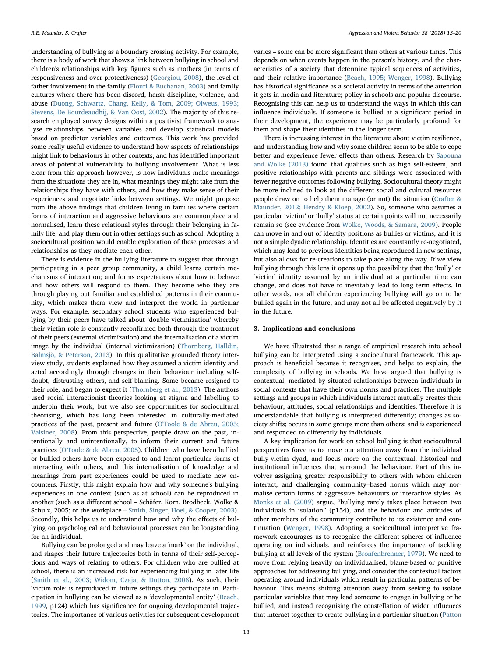understanding of bullying as a boundary crossing activity. For example, there is a body of work that shows a link between bullying in school and children's relationships with key figures such as mothers (in terms of responsiveness and over-protectiveness) [\(Georgiou, 2008](#page-7-48)), the level of father involvement in the family [\(Flouri & Buchanan, 2003\)](#page-7-49) and family cultures where there has been discord, harsh discipline, violence, and abuse [\(Duong, Schwartz, Chang, Kelly, & Tom, 2009; Olweus, 1993;](#page-6-12) [Stevens, De Bourdeaudhij, & Van Oost, 2002](#page-6-12)). The majority of this research employed survey designs within a positivist framework to analyse relationships between variables and develop statistical models based on predictor variables and outcomes. This work has provided some really useful evidence to understand how aspects of relationships might link to behaviours in other contexts, and has identified important areas of potential vulnerability to bullying involvement. What is less clear from this approach however, is how individuals make meanings from the situations they are in, what meanings they might take from the relationships they have with others, and how they make sense of their experiences and negotiate links between settings. We might propose from the above findings that children living in families where certain forms of interaction and aggressive behaviours are commonplace and normalised, learn these relational styles through their belonging in family life, and play them out in other settings such as school. Adopting a sociocultural position would enable exploration of these processes and relationships as they mediate each other.

There is evidence in the bullying literature to suggest that through participating in a peer group community, a child learns certain mechanisms of interaction; and forms expectations about how to behave and how others will respond to them. They become who they are through playing out familiar and established patterns in their community, which makes them view and interpret the world in particular ways. For example, secondary school students who experienced bullying by their peers have talked about 'double victimization' whereby their victim role is constantly reconfirmed both through the treatment of their peers (external victimization) and the internalisation of a victim image by the individual (internal victimization) ([Thornberg, Halldin,](#page-7-50) [Balmsjö, & Peterson, 2013](#page-7-50)). In this qualitative grounded theory interview study, students explained how they assumed a victim identity and acted accordingly through changes in their behaviour including selfdoubt, distrusting others, and self-blaming. Some became resigned to their role, and began to expect it [\(Thornberg et al., 2013\)](#page-7-50). The authors used social interactionist theories looking at stigma and labelling to underpin their work, but we also see opportunities for sociocultural theorising, which has long been interested in culturally-mediated practices of the past, present and future [\(O'Toole & de Abreu, 2005;](#page-7-51) [Valsiner, 2008](#page-7-51)). From this perspective, people draw on the past, intentionally and unintentionally, to inform their current and future practices [\(O'Toole & de Abreu, 2005](#page-7-51)). Children who have been bullied or bullied others have been exposed to and learnt particular forms of interacting with others, and this internalisation of knowledge and meanings from past experiences could be used to mediate new encounters. Firstly, this might explain how and why someone's bullying experiences in one context (such as at school) can be reproduced in another (such as a different school – Schäfer, Korn, Brodbeck, Wolke & Schulz, 2005; or the workplace – [Smith, Singer, Hoel, & Cooper, 2003](#page-7-52)). Secondly, this helps us to understand how and why the effects of bullying on psychological and behavioural processes can be longstanding for an individual.

Bullying can be prolonged and may leave a 'mark' on the individual, and shapes their future trajectories both in terms of their self-perceptions and ways of relating to others. For children who are bullied at school, there is an increased risk for experiencing bullying in later life ([Smith et al., 2003; Widom, Czaja, & Dutton, 2008\)](#page-7-52). As such, their 'victim role' is reproduced in future settings they participate in. Participation in bullying can be viewed as a 'developmental entity' [\(Beach,](#page-6-13) [1999,](#page-6-13) p124) which has significance for ongoing developmental trajectories. The importance of various activities for subsequent development

varies – some can be more significant than others at various times. This depends on when events happen in the person's history, and the characteristics of a society that determine typical sequences of activities, and their relative importance [\(Beach, 1995; Wenger, 1998\)](#page-6-14). Bullying has historical significance as a societal activity in terms of the attention it gets in media and literature; policy in schools and popular discourse. Recognising this can help us to understand the ways in which this can influence individuals. If someone is bullied at a significant period in their development, the experience may be particularly profound for them and shape their identities in the longer term.

There is increasing interest in the literature about victim resilience, and understanding how and why some children seem to be able to cope better and experience fewer effects than others. Research by [Sapouna](#page-7-53) [and Wolke \(2013\)](#page-7-53) found that qualities such as high self-esteem, and positive relationships with parents and siblings were associated with fewer negative outcomes following bullying. Sociocultural theory might be more inclined to look at the different social and cultural resources people draw on to help them manage (or not) the situation ([Crafter &](#page-6-15) [Maunder, 2012; Hendry & Kloep, 2002\)](#page-6-15). So, someone who assumes a particular 'victim' or 'bully' status at certain points will not necessarily remain so (see evidence from [Wolke, Woods, & Samara, 2009](#page-7-54)). People can move in and out of identity positions as bullies or victims, and it is not a simple dyadic relationship. Identities are constantly re-negotiated, which may lead to previous identities being reproduced in new settings, but also allows for re-creations to take place along the way. If we view bullying through this lens it opens up the possibility that the 'bully' or 'victim' identity assumed by an individual at a particular time can change, and does not have to inevitably lead to long term effects. In other words, not all children experiencing bullying will go on to be bullied again in the future, and may not all be affected negatively by it in the future.

## 3. Implications and conclusions

We have illustrated that a range of empirical research into school bullying can be interpreted using a sociocultural framework. This approach is beneficial because it recognises, and helps to explain, the complexity of bullying in schools. We have argued that bullying is contextual, mediated by situated relationships between individuals in social contexts that have their own norms and practices. The multiple settings and groups in which individuals interact mutually creates their behaviour, attitudes, social relationships and identities. Therefore it is understandable that bullying is interpreted differently; changes as society shifts; occurs in some groups more than others; and is experienced and responded to differently by individuals.

A key implication for work on school bullying is that sociocultural perspectives force us to move our attention away from the individual bully-victim dyad, and focus more on the contextual, historical and institutional influences that surround the behaviour. Part of this involves assigning greater responsibility to others with whom children interact, and challenging community–based norms which may normalise certain forms of aggressive behaviours or interactive styles. As [Monks et al. \(2009\)](#page-7-55) argue, "bullying rarely takes place between two individuals in isolation" (p154), and the behaviour and attitudes of other members of the community contribute to its existence and continuation ([Wenger, 1998\)](#page-7-4). Adopting a sociocultural interpretive framework encourages us to recognise the different spheres of influence operating on individuals, and reinforces the importance of tackling bullying at all levels of the system [\(Bronfenbrenner, 1979](#page-6-4)). We need to move from relying heavily on individualised, blame-based or punitive approaches for addressing bullying, and consider the contextual factors operating around individuals which result in particular patterns of behaviour. This means shifting attention away from seeking to isolate particular variables that may lead someone to engage in bullying or be bullied, and instead recognising the constellation of wider influences that interact together to create bullying in a particular situation ([Patton](#page-7-56)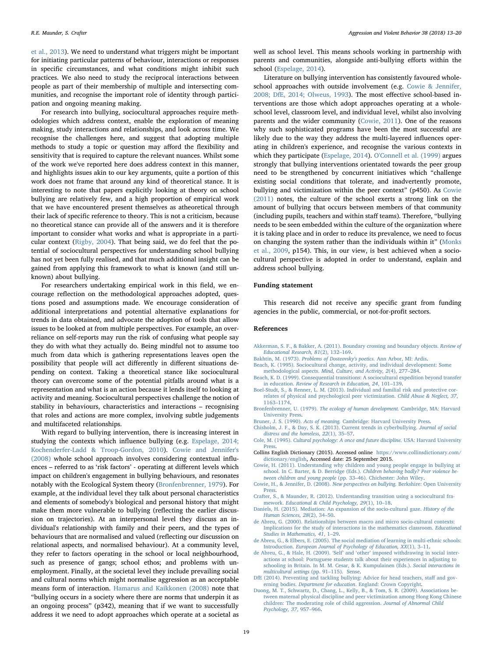[et al., 2013](#page-7-56)). We need to understand what triggers might be important for initiating particular patterns of behaviour, interactions or responses in specific circumstances, and what conditions might inhibit such practices. We also need to study the reciprocal interactions between people as part of their membership of multiple and intersecting communities, and recognise the important role of identity through participation and ongoing meaning making.

For research into bullying, sociocultural approaches require methodologies which address context, enable the exploration of meaning making, study interactions and relationships, and look across time. We recognise the challenges here, and suggest that adopting multiple methods to study a topic or question may afford the flexibility and sensitivity that is required to capture the relevant nuances. Whilst some of the work we've reported here does address context in this manner, and highlights issues akin to our key arguments, quite a portion of this work does not frame that around any kind of theoretical stance. It is interesting to note that papers explicitly looking at theory on school bullying are relatively few, and a high proportion of empirical work that we have encountered present themselves as atheoretical through their lack of specific reference to theory. This is not a criticism, because no theoretical stance can provide all of the answers and it is therefore important to consider what works and what is appropriate in a particular context ([Rigby, 2004](#page-7-41)). That being said, we do feel that the potential of sociocultural perspectives for understanding school bullying has not yet been fully realised, and that much additional insight can be gained from applying this framework to what is known (and still unknown) about bullying.

For researchers undertaking empirical work in this field, we encourage reflection on the methodological approaches adopted, questions posed and assumptions made. We encourage consideration of additional interpretations and potential alternative explanations for trends in data obtained, and advocate the adoption of tools that allow issues to be looked at from multiple perspectives. For example, an overreliance on self-reports may run the risk of confusing what people say they do with what they actually do. Being mindful not to assume too much from data which is gathering representations leaves open the possibility that people will act differently in different situations depending on context. Taking a theoretical stance like sociocultural theory can overcome some of the potential pitfalls around what is a representation and what is an action because it lends itself to looking at activity and meaning. Sociocultural perspectives challenge the notion of stability in behaviours, characteristics and interactions – recognising that roles and actions are more complex, involving subtle judgements and multifaceted relationships.

With regard to bullying intervention, there is increasing interest in studying the contexts which influence bullying (e.g. [Espelage, 2014;](#page-7-6) [Kochenderfer-Ladd & Troop-Gordon, 2010\)](#page-7-6). [Cowie and Jennifer's](#page-6-16) [\(2008\)](#page-6-16) whole school approach involves considering contextual influences – referred to as 'risk factors' - operating at different levels which impact on children's engagement in bullying behaviours, and resonates notably with the Ecological System theory ([Bronfenbrenner, 1979](#page-6-4)). For example, at the individual level they talk about personal characteristics and elements of somebody's biological and personal history that might make them more vulnerable to bullying (reflecting the earlier discussion on trajectories). At an interpersonal level they discuss an individual's relationship with family and their peers, and the types of behaviours that are normalised and valued (reflecting our discussion on relational aspects, and normalised behaviour). At a community level, they refer to factors operating in the school or local neighbourhood, such as presence of gangs; school ethos; and problems with unemployment. Finally, at the societal level they include prevailing social and cultural norms which might normalise aggression as an acceptable means form of interaction. [Hamarus and Kaikkonen \(2008\)](#page-7-43) note that "bullying occurs in a society where there are norms that underpin it as an ongoing process" (p342), meaning that if we want to successfully address it we need to adopt approaches which operate at a societal as

well as school level. This means schools working in partnership with parents and communities, alongside anti-bullying efforts within the school ([Espelage, 2014](#page-7-6)).

Literature on bullying intervention has consistently favoured wholeschool approaches with outside involvement (e.g. [Cowie & Jennifer,](#page-6-16) [2008; DfE, 2014; Olweus, 1993](#page-6-16)). The most effective school-based interventions are those which adopt approaches operating at a wholeschool level, classroom level, and individual level, whilst also involving parents and the wider community ([Cowie, 2011](#page-6-17)). One of the reasons why such sophisticated programs have been the most successful are likely due to the way they address the multi-layered influences operating in children's experience, and recognise the various contexts in which they participate [\(Espelage, 2014\)](#page-7-6). [O'Connell et al. \(1999\)](#page-7-36) argues strongly that bullying interventions orientated towards the peer group need to be strengthened by concurrent initiatives which "challenge existing social conditions that tolerate, and inadvertently promote, bullying and victimization within the peer context" (p450). As [Cowie](#page-6-17) [\(2011\)](#page-6-17) notes, the culture of the school exerts a strong link on the amount of bullying that occurs between members of that community (including pupils, teachers and within staff teams). Therefore, "bullying needs to be seen embedded within the culture of the organization where it is taking place and in order to reduce its prevalence, we need to focus on changing the system rather than the individuals within it" [\(Monks](#page-7-55) [et al., 2009](#page-7-55), p154). This, in our view, is best achieved when a sociocultural perspective is adopted in order to understand, explain and address school bullying.

#### Funding statement

This research did not receive any specific grant from funding agencies in the public, commercial, or not-for-profit sectors.

#### References

- <span id="page-6-7"></span>[Akkerman, S. F., & Bakker, A. \(2011\). Boundary crossing and boundary objects.](http://refhub.elsevier.com/S1359-1789(17)30208-2/rf0005) Review of [Educational Research, 81](http://refhub.elsevier.com/S1359-1789(17)30208-2/rf0005)(2), 132–169.
- <span id="page-6-11"></span>Bakhtin, M. (1973). [Problems of Dosteovsky's poetics.](http://refhub.elsevier.com/S1359-1789(17)30208-2/rf0010) Ann Arbor, MI: Ardis.
- <span id="page-6-14"></span>[Beach, K. \(1995\). Sociocultural change, activity, and individual development: Some](http://refhub.elsevier.com/S1359-1789(17)30208-2/rf0015) methodological aspects. [Mind, Culture, and Activity, 2](http://refhub.elsevier.com/S1359-1789(17)30208-2/rf0015)(4), 277–284.
- <span id="page-6-13"></span>[Beach, K. D. \(1999\). Consequential transitions: A sociocultural expedition beyond transfer](http://refhub.elsevier.com/S1359-1789(17)30208-2/rf0020) in education. [Review of Research in Education, 24](http://refhub.elsevier.com/S1359-1789(17)30208-2/rf0020), 101–139.
- <span id="page-6-10"></span>[Boel-Studt, S., & Renner, L. M. \(2013\). Individual and familial risk and protective cor](http://refhub.elsevier.com/S1359-1789(17)30208-2/rf0025)[relates of physical and psychological peer victimization.](http://refhub.elsevier.com/S1359-1789(17)30208-2/rf0025) Child Abuse & Neglect, 37, 1163–[1174](http://refhub.elsevier.com/S1359-1789(17)30208-2/rf0025).
- <span id="page-6-4"></span>Bronfenbrenner, U. (1979). [The ecology of human development.](http://refhub.elsevier.com/S1359-1789(17)30208-2/rf0030) Cambridge, MA: Harvard **[University Press](http://refhub.elsevier.com/S1359-1789(17)30208-2/rf0030)**
- 
- <span id="page-6-6"></span><span id="page-6-3"></span>Bruner, J. S. (1990). Acts of meaning. [Cambridge: Harvard University Press.](http://refhub.elsevier.com/S1359-1789(17)30208-2/rf0035)<br>[Chisholm, J. F., & Day, S. K. \(2013\). Current trends in cyberbullying.](http://refhub.elsevier.com/S1359-1789(17)30208-2/rf0040) Journal of social [distress and the homeless, 22](http://refhub.elsevier.com/S1359-1789(17)30208-2/rf0040)(1), 35–57.
- <span id="page-6-8"></span>Cole, M. (1995). [Cultural psychology: A once and future discipline.](http://refhub.elsevier.com/S1359-1789(17)30208-2/rf0045) USA: Harvard University **Press**
- <span id="page-6-5"></span>Collins English Dictionary (2015). Accessed online [https://www.collinsdictionary.com/](https://www.collinsdictionary.com/dictionary/english) [dictionary/english,](https://www.collinsdictionary.com/dictionary/english) Accessed date: 25 September 2015.
- <span id="page-6-17"></span>[Cowie, H. \(2011\). Understanding why children and young people engage in bullying at](http://refhub.elsevier.com/S1359-1789(17)30208-2/rf0055) [school. In C. Barter, & D. Berridge \(Eds.\).](http://refhub.elsevier.com/S1359-1789(17)30208-2/rf0055) Children behaving badly? Peer violence be[tween children and young people](http://refhub.elsevier.com/S1359-1789(17)30208-2/rf0055) (pp. 33–46). Chichester: John Wiley.
- <span id="page-6-16"></span>[Cowie, H., & Jennifer, D. \(2008\).](http://refhub.elsevier.com/S1359-1789(17)30208-2/rf0060) New perspectives on bullying. Berkshire: Open University [Press.](http://refhub.elsevier.com/S1359-1789(17)30208-2/rf0060)
- <span id="page-6-15"></span>[Crafter, S., & Maunder, R. \(2012\). Understanding transition using a sociocultural fra](http://refhub.elsevier.com/S1359-1789(17)30208-2/rf0065)mework. [Educational & Child Psychology, 29](http://refhub.elsevier.com/S1359-1789(17)30208-2/rf0065)(1), 10–18.
- <span id="page-6-0"></span>[Daniels, H. \(2015\). Mediation: An expansion of the socio-cultural gaze.](http://refhub.elsevier.com/S1359-1789(17)30208-2/rf0070) History of the [Human Sciences, 28](http://refhub.elsevier.com/S1359-1789(17)30208-2/rf0070)(2), 34–50.
- <span id="page-6-2"></span>[de Abreu, G. \(2000\). Relationships between macro and micro socio-cultural contexts:](http://refhub.elsevier.com/S1359-1789(17)30208-2/rf0075) [Implications for the study of interactions in the mathematics classroom.](http://refhub.elsevier.com/S1359-1789(17)30208-2/rf0075) Educational [Studies in Mathematics, 41](http://refhub.elsevier.com/S1359-1789(17)30208-2/rf0075), 1–29.
- <span id="page-6-1"></span>[de Abreu, G., & Elbers, E. \(2005\). The social mediation of learning in multi-ethnic schools:](http://refhub.elsevier.com/S1359-1789(17)30208-2/rf0080) Introduction. [European Journal of Psychology of Education, XX](http://refhub.elsevier.com/S1359-1789(17)30208-2/rf0080)(1), 3–11.
- <span id="page-6-9"></span>[de Abreu, G., & Hale, H. \(2009\).](http://refhub.elsevier.com/S1359-1789(17)30208-2/rf0085) 'Self' and 'other' imposed withdrawing in social inter[actions at school: Portuguese students talk about their experiences in adjusting to](http://refhub.elsevier.com/S1359-1789(17)30208-2/rf0085) [schooling in Britain. In M. M. Cesar, & K. Kumpulainen \(Eds.\).](http://refhub.elsevier.com/S1359-1789(17)30208-2/rf0085) Social interactions in [multicultural settings](http://refhub.elsevier.com/S1359-1789(17)30208-2/rf0085) (pp. 91–115). Sense.
- [DfE \(2014\). Preventing and tackling bullying: Advice for head teachers, sta](http://refhub.elsevier.com/S1359-1789(17)30208-2/rf0090)ff and governing bodies. Department for education[. England: Crown Copyright.](http://refhub.elsevier.com/S1359-1789(17)30208-2/rf0090)
- <span id="page-6-12"></span>[Duong, M. T., Schwartz, D., Chang, L., Kelly, B., & Tom, S. R. \(2009\). Associations be](http://refhub.elsevier.com/S1359-1789(17)30208-2/rf0095)[tween maternal physical discipline and peer victimization among Hong Kong Chinese](http://refhub.elsevier.com/S1359-1789(17)30208-2/rf0095) [children: The moderating role of child aggression.](http://refhub.elsevier.com/S1359-1789(17)30208-2/rf0095) Journal of Abnormal Child [Psychology, 37](http://refhub.elsevier.com/S1359-1789(17)30208-2/rf0095), 957–966.